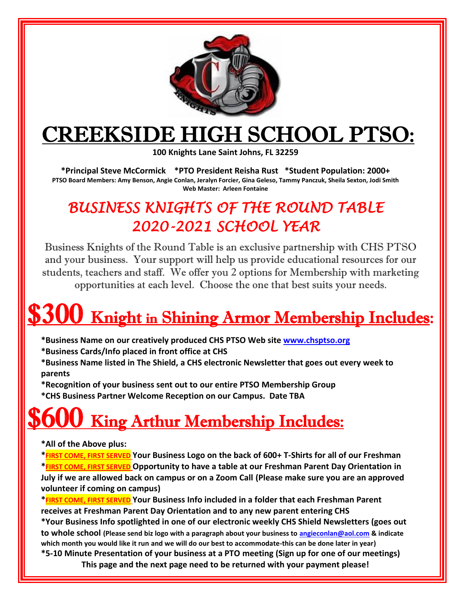

# CREEKSIDE HIGH SCHOOL PTSO:

**100 Knights Lane Saint Johns, FL 32259** 

**\*Principal Steve McCormick \*PTO President Reisha Rust \*Student Population: 2000+ PTSO Board Members: Amy Benson, Angie Conlan, Jeralyn Forcier, Gina Geleso, Tammy Panczuk, Sheila Sexton, Jodi Smith Web Master: Arleen Fontaine**

### *BUSINESS KNIGHTS OF THE ROUND TABLE 2020-2021 SCHOOL YEAR*

Business Knights of the Round Table is an exclusive partnership with CHS PTSO and your business. Your support will help us provide educational resources for our students, teachers and staff. We offer you 2 options for Membership with marketing opportunities at each level. Choose the one that best suits your needs.

# $5300$  Knight in Shining Armor Membership Includes:

- **\*Business Name on our creatively produced CHS PTSO Web site [www.chsptso.org](http://www.chsptso.org/)**
- **\*Business Cards/Info placed in front office at CHS**
- **\*Business Name listed in The Shield, a CHS electronic Newsletter that goes out every week to parents**
- **\*Recognition of your business sent out to our entire PTSO Membership Group**
- **\*CHS Business Partner Welcome Reception on our Campus. Date TBA**

# **King Arthur Membership Includes:**

#### **\*All of the Above plus:**

**\*FIRST COME, FIRST SERVED Your Business Logo on the back of 600+ T-Shirts for all of our Freshman \*FIRST COME, FIRST SERVED Opportunity to have a table at our Freshman Parent Day Orientation in July if we are allowed back on campus or on a Zoom Call (Please make sure you are an approved volunteer if coming on campus)**

**\*FIRST COME, FIRST SERVED Your Business Info included in a folder that each Freshman Parent receives at Freshman Parent Day Orientation and to any new parent entering CHS**

**\*Your Business Info spotlighted in one of our electronic weekly CHS Shield Newsletters (goes out to whole school (Please send biz logo with a paragraph about your business to [angieconlan@aol.com](mailto:angieconlan@aol.com) & indicate** 

**which month you would like it run and we will do our best to accommodate-this can be done later in year)**

**\*5-10 Minute Presentation of your business at a PTO meeting (Sign up for one of our meetings) This page and the next page need to be returned with your payment please!**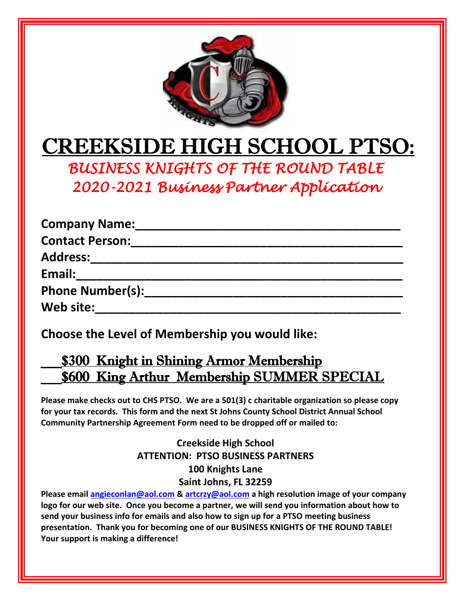

# CREEKSIDE HIGH SCHOOL PTSO:

*BUSINESS KNIGHTS OF THE ROUND TABLE 2020-2021 Business Partner Application* 

| <b>Company Name:</b>    |
|-------------------------|
| <b>Contact Person:</b>  |
| <b>Address:</b>         |
| Email:                  |
| <b>Phone Number(s):</b> |
| Web site:               |

**Choose the Level of Membership you would like:**

### \_\_\_\$300 Knight in Shining Armor Membership **\$600 King Arthur Membership SUMMER SPECIAL**

**Please make checks out to CHS PTSO. We are a 501(3) c charitable organization so please copy for your tax records. This form and the next St Johns County School District Annual School Community Partnership Agreement Form need to be dropped off or mailed to:**

#### **Creekside High School ATTENTION: PTSO BUSINESS PARTNERS 100 Knights Lane Saint Johns, FL 32259**

**Please email [angieconlan@aol.com](mailto:angieconlan@aol.com) & [artcrzy@aol.com](mailto:artcrzy@aol.com) a high resolution image of your company logo for our web site. Once you become a partner, we will send you information about how to send your business info for emails and also how to sign up for a PTSO meeting business presentation. Thank you for becoming one of our BUSINESS KNIGHTS OF THE ROUND TABLE! Your support is making a difference!**